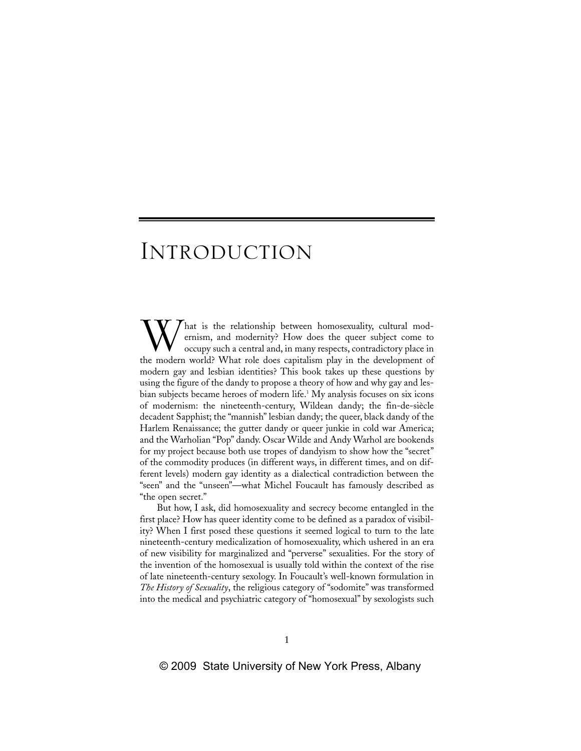hat is the relationship between homosexuality, cultural modernism, and modernity? How does the queer subject come to occupy such a central and, in many respects, contradictory place in the modern world? What role does capitalism play in the development of modern gay and lesbian identities? This book takes up these questions by using the figure of the dandy to propose a theory of how and why gay and lesbian subjects became heroes of modern life.<sup>1</sup> My analysis focuses on six icons of modernism: the nineteenth-century, Wildean dandy; the fin-de-siècle decadent Sapphist; the "mannish" lesbian dandy; the queer, black dandy of the Harlem Renaissance; the gutter dandy or queer junkie in cold war America; and the Warholian "Pop" dandy. Oscar Wilde and Andy Warhol are bookends for my project because both use tropes of dandyism to show how the "secret" of the commodity produces (in different ways, in different times, and on different levels) modern gay identity as a dialectical contradiction between the "seen" and the "unseen"—what Michel Foucault has famously described as "the open secret." W

But how, I ask, did homosexuality and secrecy become entangled in the first place? How has queer identity come to be defined as a paradox of visibility? When I first posed these questions it seemed logical to turn to the late nineteenth-century medicalization of homosexuality, which ushered in an era of new visibility for marginalized and "perverse" sexualities. For the story of the invention of the homosexual is usually told within the context of the rise of late nineteenth-century sexology. In Foucault's well-known formulation in *The History of Sexuality*, the religious category of "sodomite" was transformed into the medical and psychiatric category of "homosexual" by sexologists such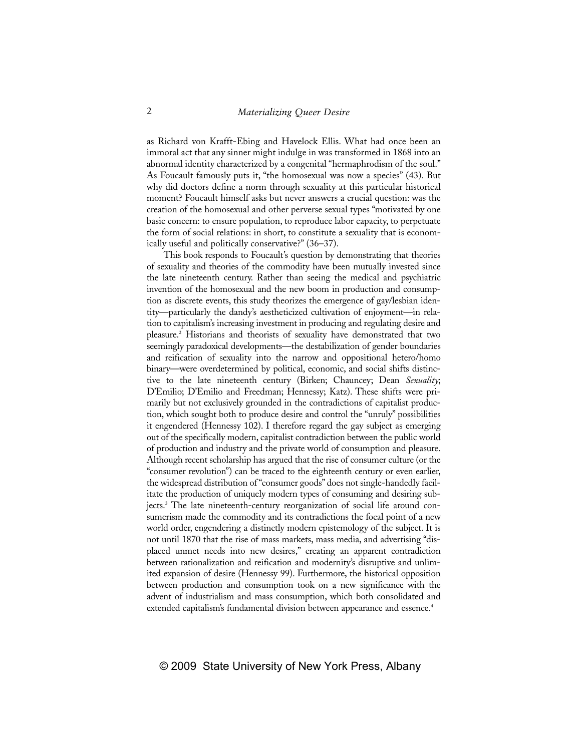as Richard von Krafft-Ebing and Havelock Ellis. What had once been an immoral act that any sinner might indulge in was transformed in 1868 into an abnormal identity characterized by a congenital "hermaphrodism of the soul." As Foucault famously puts it, "the homosexual was now a species" (43). But why did doctors define a norm through sexuality at this particular historical moment? Foucault himself asks but never answers a crucial question: was the creation of the homosexual and other perverse sexual types "motivated by one basic concern: to ensure population, to reproduce labor capacity, to perpetuate the form of social relations: in short, to constitute a sexuality that is economically useful and politically conservative?" (36–37).

This book responds to Foucault's question by demonstrating that theories of sexuality and theories of the commodity have been mutually invested since the late nineteenth century. Rather than seeing the medical and psychiatric invention of the homosexual and the new boom in production and consumption as discrete events, this study theorizes the emergence of gay/lesbian identity—particularly the dandy's aestheticized cultivation of enjoyment—in relation to capitalism's increasing investment in producing and regulating desire and pleasure.2 Historians and theorists of sexuality have demonstrated that two seemingly paradoxical developments—the destabilization of gender boundaries and reification of sexuality into the narrow and oppositional hetero/homo binary—were overdetermined by political, economic, and social shifts distinctive to the late nineteenth century (Birken; Chauncey; Dean *Sexuality*; D'Emilio; D'Emilio and Freedman; Hennessy; Katz). These shifts were primarily but not exclusively grounded in the contradictions of capitalist production, which sought both to produce desire and control the "unruly" possibilities it engendered (Hennessy 102). I therefore regard the gay subject as emerging out of the specifically modern, capitalist contradiction between the public world of production and industry and the private world of consumption and pleasure. Although recent scholarship has argued that the rise of consumer culture (or the "consumer revolution") can be traced to the eighteenth century or even earlier, the widespread distribution of "consumer goods" does not single-handedly facilitate the production of uniquely modern types of consuming and desiring subjects.3 The late nineteenth-century reorganization of social life around consumerism made the commodity and its contradictions the focal point of a new world order, engendering a distinctly modern epistemology of the subject. It is not until 1870 that the rise of mass markets, mass media, and advertising "displaced unmet needs into new desires," creating an apparent contradiction between rationalization and reification and modernity's disruptive and unlimited expansion of desire (Hennessy 99). Furthermore, the historical opposition between production and consumption took on a new significance with the advent of industrialism and mass consumption, which both consolidated and extended capitalism's fundamental division between appearance and essence.<sup>4</sup>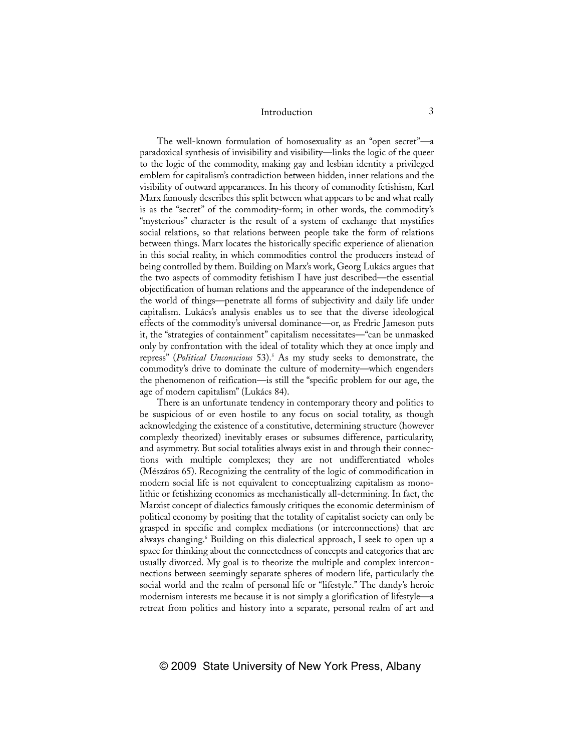The well-known formulation of homosexuality as an "open secret"—a paradoxical synthesis of invisibility and visibility—links the logic of the queer to the logic of the commodity, making gay and lesbian identity a privileged emblem for capitalism's contradiction between hidden, inner relations and the visibility of outward appearances. In his theory of commodity fetishism, Karl Marx famously describes this split between what appears to be and what really is as the "secret" of the commodity-form; in other words, the commodity's "mysterious" character is the result of a system of exchange that mystifies social relations, so that relations between people take the form of relations between things. Marx locates the historically specific experience of alienation in this social reality, in which commodities control the producers instead of being controlled by them. Building on Marx's work, Georg Lukács argues that the two aspects of commodity fetishism I have just described—the essential objectification of human relations and the appearance of the independence of the world of things—penetrate all forms of subjectivity and daily life under capitalism. Lukács's analysis enables us to see that the diverse ideological effects of the commodity's universal dominance—or, as Fredric Jameson puts it, the "strategies of containment" capitalism necessitates—"can be unmasked only by confrontation with the ideal of totality which they at once imply and repress" (*Political Unconscious* 53).5 As my study seeks to demonstrate, the commodity's drive to dominate the culture of modernity—which engenders the phenomenon of reification—is still the "specific problem for our age, the age of modern capitalism" (Lukács 84).

There is an unfortunate tendency in contemporary theory and politics to be suspicious of or even hostile to any focus on social totality, as though acknowledging the existence of a constitutive, determining structure (however complexly theorized) inevitably erases or subsumes difference, particularity, and asymmetry. But social totalities always exist in and through their connections with multiple complexes; they are not undifferentiated wholes (Mészáros 65). Recognizing the centrality of the logic of commodification in modern social life is not equivalent to conceptualizing capitalism as monolithic or fetishizing economics as mechanistically all-determining. In fact, the Marxist concept of dialectics famously critiques the economic determinism of political economy by positing that the totality of capitalist society can only be grasped in specific and complex mediations (or interconnections) that are always changing.<sup>6</sup> Building on this dialectical approach, I seek to open up a space for thinking about the connectedness of concepts and categories that are usually divorced. My goal is to theorize the multiple and complex interconnections between seemingly separate spheres of modern life, particularly the social world and the realm of personal life or "lifestyle." The dandy's heroic modernism interests me because it is not simply a glorification of lifestyle—a retreat from politics and history into a separate, personal realm of art and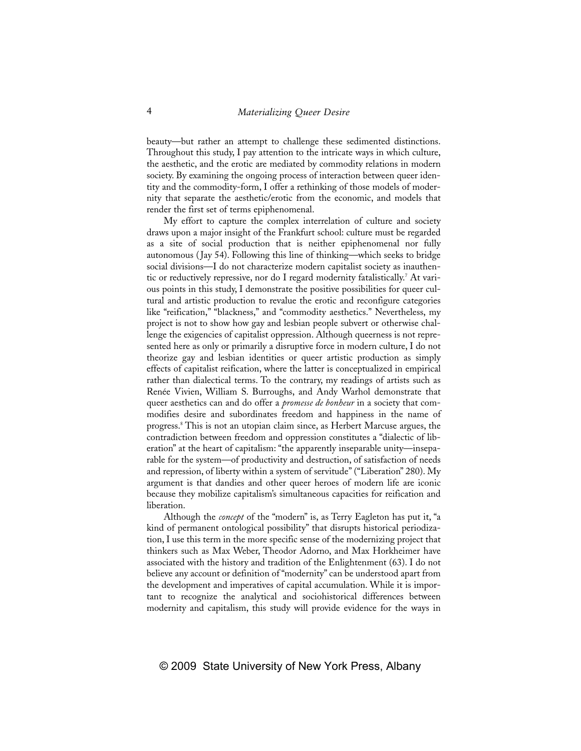beauty—but rather an attempt to challenge these sedimented distinctions. Throughout this study, I pay attention to the intricate ways in which culture, the aesthetic, and the erotic are mediated by commodity relations in modern society. By examining the ongoing process of interaction between queer identity and the commodity-form, I offer a rethinking of those models of modernity that separate the aesthetic/erotic from the economic, and models that render the first set of terms epiphenomenal.

My effort to capture the complex interrelation of culture and society draws upon a major insight of the Frankfurt school: culture must be regarded as a site of social production that is neither epiphenomenal nor fully autonomous ( Jay 54). Following this line of thinking—which seeks to bridge social divisions—I do not characterize modern capitalist society as inauthentic or reductively repressive, nor do I regard modernity fatalistically.<sup>7</sup> At various points in this study, I demonstrate the positive possibilities for queer cultural and artistic production to revalue the erotic and reconfigure categories like "reification," "blackness," and "commodity aesthetics." Nevertheless, my project is not to show how gay and lesbian people subvert or otherwise challenge the exigencies of capitalist oppression. Although queerness is not represented here as only or primarily a disruptive force in modern culture, I do not theorize gay and lesbian identities or queer artistic production as simply effects of capitalist reification, where the latter is conceptualized in empirical rather than dialectical terms. To the contrary, my readings of artists such as Renée Vivien, William S. Burroughs, and Andy Warhol demonstrate that queer aesthetics can and do offer a *promesse de bonheur* in a society that commodifies desire and subordinates freedom and happiness in the name of progress.8 This is not an utopian claim since, as Herbert Marcuse argues, the contradiction between freedom and oppression constitutes a "dialectic of liberation" at the heart of capitalism: "the apparently inseparable unity—inseparable for the system—of productivity and destruction, of satisfaction of needs and repression, of liberty within a system of servitude" ("Liberation" 280). My argument is that dandies and other queer heroes of modern life are iconic because they mobilize capitalism's simultaneous capacities for reification and liberation.

Although the *concept* of the "modern" is, as Terry Eagleton has put it, "a kind of permanent ontological possibility" that disrupts historical periodization, I use this term in the more specific sense of the modernizing project that thinkers such as Max Weber, Theodor Adorno, and Max Horkheimer have associated with the history and tradition of the Enlightenment (63). I do not believe any account or definition of "modernity" can be understood apart from the development and imperatives of capital accumulation. While it is important to recognize the analytical and sociohistorical differences between modernity and capitalism, this study will provide evidence for the ways in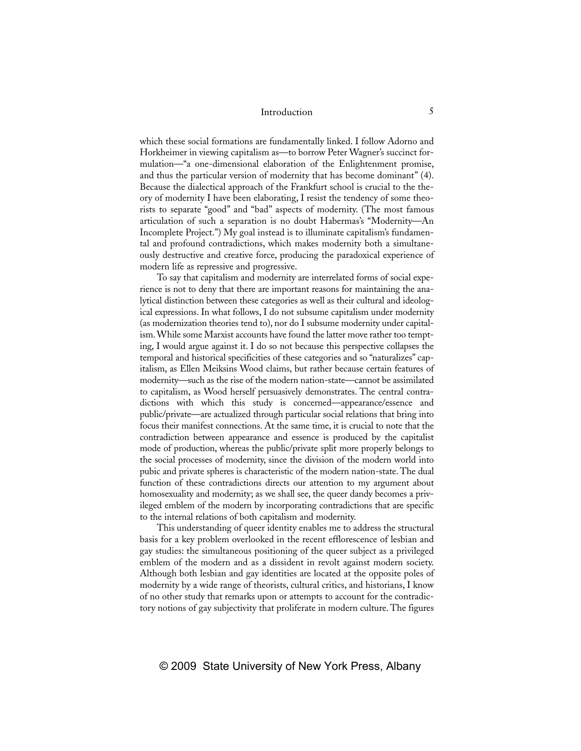which these social formations are fundamentally linked. I follow Adorno and Horkheimer in viewing capitalism as—to borrow Peter Wagner's succinct formulation—"a one-dimensional elaboration of the Enlightenment promise, and thus the particular version of modernity that has become dominant" (4). Because the dialectical approach of the Frankfurt school is crucial to the theory of modernity I have been elaborating, I resist the tendency of some theorists to separate "good" and "bad" aspects of modernity. (The most famous articulation of such a separation is no doubt Habermas's "Modernity—An Incomplete Project.") My goal instead is to illuminate capitalism's fundamental and profound contradictions, which makes modernity both a simultaneously destructive and creative force, producing the paradoxical experience of modern life as repressive and progressive.

To say that capitalism and modernity are interrelated forms of social experience is not to deny that there are important reasons for maintaining the analytical distinction between these categories as well as their cultural and ideological expressions. In what follows, I do not subsume capitalism under modernity (as modernization theories tend to), nor do I subsume modernity under capitalism. While some Marxist accounts have found the latter move rather too tempting, I would argue against it. I do so not because this perspective collapses the temporal and historical specificities of these categories and so "naturalizes" capitalism, as Ellen Meiksins Wood claims, but rather because certain features of modernity—such as the rise of the modern nation-state—cannot be assimilated to capitalism, as Wood herself persuasively demonstrates. The central contradictions with which this study is concerned—appearance/essence and public/private—are actualized through particular social relations that bring into focus their manifest connections. At the same time, it is crucial to note that the contradiction between appearance and essence is produced by the capitalist mode of production, whereas the public/private split more properly belongs to the social processes of modernity, since the division of the modern world into pubic and private spheres is characteristic of the modern nation-state. The dual function of these contradictions directs our attention to my argument about homosexuality and modernity; as we shall see, the queer dandy becomes a privileged emblem of the modern by incorporating contradictions that are specific to the internal relations of both capitalism and modernity.

This understanding of queer identity enables me to address the structural basis for a key problem overlooked in the recent efflorescence of lesbian and gay studies: the simultaneous positioning of the queer subject as a privileged emblem of the modern and as a dissident in revolt against modern society. Although both lesbian and gay identities are located at the opposite poles of modernity by a wide range of theorists, cultural critics, and historians, I know of no other study that remarks upon or attempts to account for the contradictory notions of gay subjectivity that proliferate in modern culture. The figures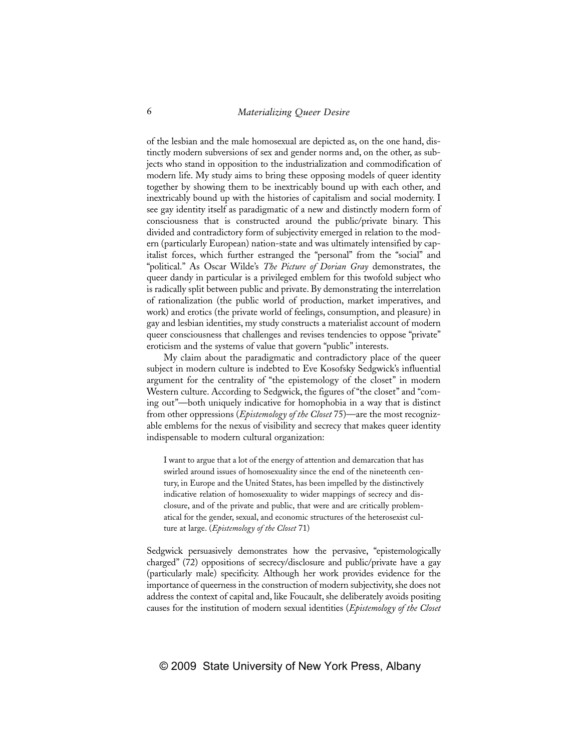of the lesbian and the male homosexual are depicted as, on the one hand, distinctly modern subversions of sex and gender norms and, on the other, as subjects who stand in opposition to the industrialization and commodification of modern life. My study aims to bring these opposing models of queer identity together by showing them to be inextricably bound up with each other, and inextricably bound up with the histories of capitalism and social modernity. I see gay identity itself as paradigmatic of a new and distinctly modern form of consciousness that is constructed around the public/private binary. This divided and contradictory form of subjectivity emerged in relation to the modern (particularly European) nation-state and was ultimately intensified by capitalist forces, which further estranged the "personal" from the "social" and "political." As Oscar Wilde's *The Picture of Dorian Gray* demonstrates, the queer dandy in particular is a privileged emblem for this twofold subject who is radically split between public and private. By demonstrating the interrelation of rationalization (the public world of production, market imperatives, and work) and erotics (the private world of feelings, consumption, and pleasure) in gay and lesbian identities, my study constructs a materialist account of modern queer consciousness that challenges and revises tendencies to oppose "private" eroticism and the systems of value that govern "public" interests.

My claim about the paradigmatic and contradictory place of the queer subject in modern culture is indebted to Eve Kosofsky Sedgwick's influential argument for the centrality of "the epistemology of the closet" in modern Western culture. According to Sedgwick, the figures of "the closet" and "coming out"—both uniquely indicative for homophobia in a way that is distinct from other oppressions (*Epistemology of the Closet* 75)—are the most recognizable emblems for the nexus of visibility and secrecy that makes queer identity indispensable to modern cultural organization:

I want to argue that a lot of the energy of attention and demarcation that has swirled around issues of homosexuality since the end of the nineteenth century, in Europe and the United States, has been impelled by the distinctively indicative relation of homosexuality to wider mappings of secrecy and disclosure, and of the private and public, that were and are critically problematical for the gender, sexual, and economic structures of the heterosexist culture at large. (*Epistemology of the Closet* 71)

Sedgwick persuasively demonstrates how the pervasive, "epistemologically charged" (72) oppositions of secrecy/disclosure and public/private have a gay (particularly male) specificity. Although her work provides evidence for the importance of queerness in the construction of modern subjectivity, she does not address the context of capital and, like Foucault, she deliberately avoids positing causes for the institution of modern sexual identities (*Epistemology of the Closet*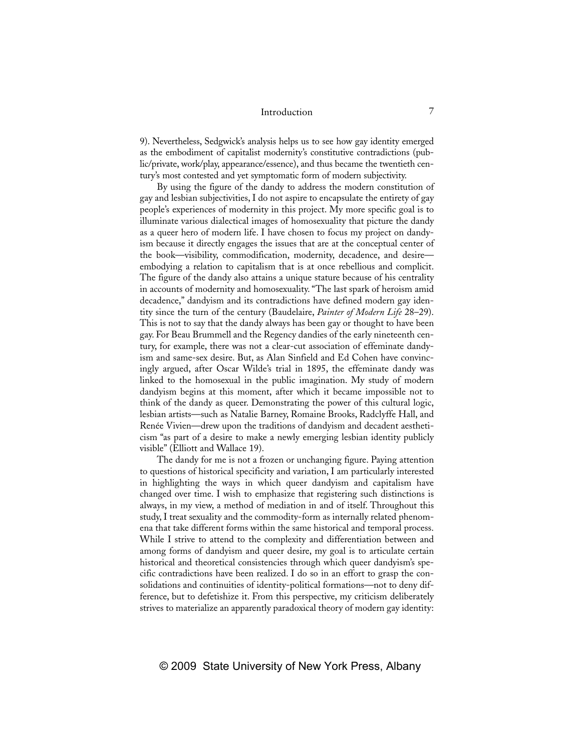9). Nevertheless, Sedgwick's analysis helps us to see how gay identity emerged as the embodiment of capitalist modernity's constitutive contradictions (public/private, work/play, appearance/essence), and thus became the twentieth century's most contested and yet symptomatic form of modern subjectivity.

By using the figure of the dandy to address the modern constitution of gay and lesbian subjectivities, I do not aspire to encapsulate the entirety of gay people's experiences of modernity in this project. My more specific goal is to illuminate various dialectical images of homosexuality that picture the dandy as a queer hero of modern life. I have chosen to focus my project on dandyism because it directly engages the issues that are at the conceptual center of the book—visibility, commodification, modernity, decadence, and desire embodying a relation to capitalism that is at once rebellious and complicit. The figure of the dandy also attains a unique stature because of his centrality in accounts of modernity and homosexuality. "The last spark of heroism amid decadence," dandyism and its contradictions have defined modern gay identity since the turn of the century (Baudelaire, *Painter of Modern Life* 28–29). This is not to say that the dandy always has been gay or thought to have been gay. For Beau Brummell and the Regency dandies of the early nineteenth century, for example, there was not a clear-cut association of effeminate dandyism and same-sex desire. But, as Alan Sinfield and Ed Cohen have convincingly argued, after Oscar Wilde's trial in 1895, the effeminate dandy was linked to the homosexual in the public imagination. My study of modern dandyism begins at this moment, after which it became impossible not to think of the dandy as queer. Demonstrating the power of this cultural logic, lesbian artists—such as Natalie Barney, Romaine Brooks, Radclyffe Hall, and Renée Vivien—drew upon the traditions of dandyism and decadent aestheticism "as part of a desire to make a newly emerging lesbian identity publicly visible" (Elliott and Wallace 19).

The dandy for me is not a frozen or unchanging figure. Paying attention to questions of historical specificity and variation, I am particularly interested in highlighting the ways in which queer dandyism and capitalism have changed over time. I wish to emphasize that registering such distinctions is always, in my view, a method of mediation in and of itself. Throughout this study, I treat sexuality and the commodity-form as internally related phenomena that take different forms within the same historical and temporal process. While I strive to attend to the complexity and differentiation between and among forms of dandyism and queer desire, my goal is to articulate certain historical and theoretical consistencies through which queer dandyism's specific contradictions have been realized. I do so in an effort to grasp the consolidations and continuities of identity-political formations—not to deny difference, but to defetishize it. From this perspective, my criticism deliberately strives to materialize an apparently paradoxical theory of modern gay identity: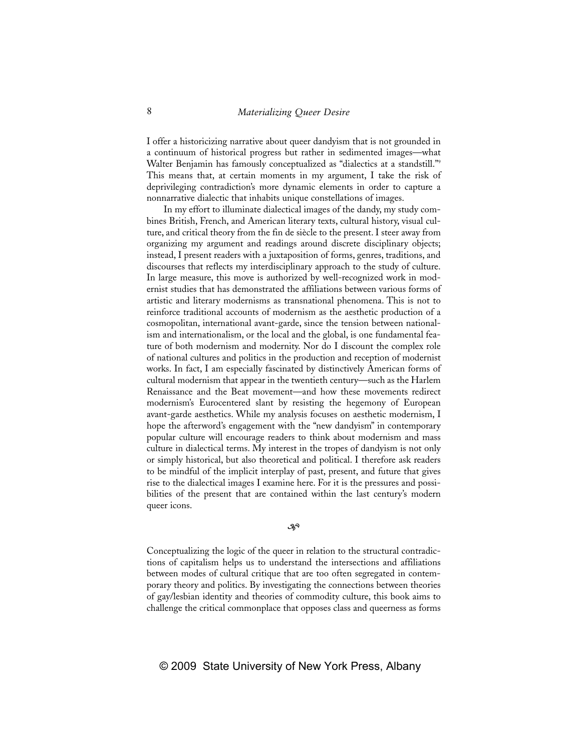I offer a historicizing narrative about queer dandyism that is not grounded in a continuum of historical progress but rather in sedimented images—what Walter Benjamin has famously conceptualized as "dialectics at a standstill."<sup>9</sup> This means that, at certain moments in my argument, I take the risk of deprivileging contradiction's more dynamic elements in order to capture a nonnarrative dialectic that inhabits unique constellations of images.

In my effort to illuminate dialectical images of the dandy, my study combines British, French, and American literary texts, cultural history, visual culture, and critical theory from the fin de siècle to the present. I steer away from organizing my argument and readings around discrete disciplinary objects; instead, I present readers with a juxtaposition of forms, genres, traditions, and discourses that reflects my interdisciplinary approach to the study of culture. In large measure, this move is authorized by well-recognized work in modernist studies that has demonstrated the affiliations between various forms of artistic and literary modernisms as transnational phenomena. This is not to reinforce traditional accounts of modernism as the aesthetic production of a cosmopolitan, international avant-garde, since the tension between nationalism and internationalism, or the local and the global, is one fundamental feature of both modernism and modernity. Nor do I discount the complex role of national cultures and politics in the production and reception of modernist works. In fact, I am especially fascinated by distinctively American forms of cultural modernism that appear in the twentieth century—such as the Harlem Renaissance and the Beat movement—and how these movements redirect modernism's Eurocentered slant by resisting the hegemony of European avant-garde aesthetics. While my analysis focuses on aesthetic modernism, I hope the afterword's engagement with the "new dandyism" in contemporary popular culture will encourage readers to think about modernism and mass culture in dialectical terms. My interest in the tropes of dandyism is not only or simply historical, but also theoretical and political. I therefore ask readers to be mindful of the implicit interplay of past, present, and future that gives rise to the dialectical images I examine here. For it is the pressures and possibilities of the present that are contained within the last century's modern queer icons.

#### $-30$

Conceptualizing the logic of the queer in relation to the structural contradictions of capitalism helps us to understand the intersections and affiliations between modes of cultural critique that are too often segregated in contemporary theory and politics. By investigating the connections between theories of gay/lesbian identity and theories of commodity culture, this book aims to challenge the critical commonplace that opposes class and queerness as forms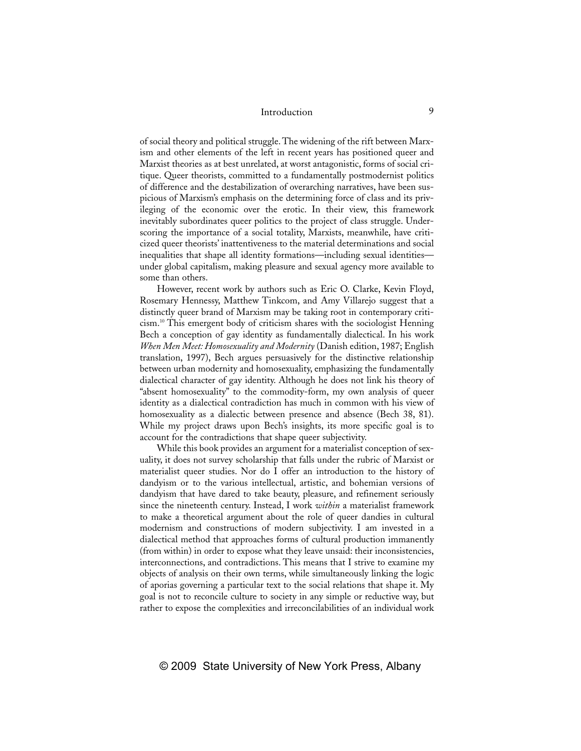of social theory and political struggle. The widening of the rift between Marxism and other elements of the left in recent years has positioned queer and Marxist theories as at best unrelated, at worst antagonistic, forms of social critique. Queer theorists, committed to a fundamentally postmodernist politics of difference and the destabilization of overarching narratives, have been suspicious of Marxism's emphasis on the determining force of class and its privileging of the economic over the erotic. In their view, this framework inevitably subordinates queer politics to the project of class struggle. Underscoring the importance of a social totality, Marxists, meanwhile, have criticized queer theorists' inattentiveness to the material determinations and social inequalities that shape all identity formations—including sexual identities under global capitalism, making pleasure and sexual agency more available to some than others.

However, recent work by authors such as Eric O. Clarke, Kevin Floyd, Rosemary Hennessy, Matthew Tinkcom, and Amy Villarejo suggest that a distinctly queer brand of Marxism may be taking root in contemporary criticism.10 This emergent body of criticism shares with the sociologist Henning Bech a conception of gay identity as fundamentally dialectical. In his work *When Men Meet: Homosexuality and Modernity* (Danish edition, 1987; English translation, 1997), Bech argues persuasively for the distinctive relationship between urban modernity and homosexuality, emphasizing the fundamentally dialectical character of gay identity. Although he does not link his theory of "absent homosexuality" to the commodity-form, my own analysis of queer identity as a dialectical contradiction has much in common with his view of homosexuality as a dialectic between presence and absence (Bech 38, 81). While my project draws upon Bech's insights, its more specific goal is to account for the contradictions that shape queer subjectivity.

While this book provides an argument for a materialist conception of sexuality, it does not survey scholarship that falls under the rubric of Marxist or materialist queer studies. Nor do I offer an introduction to the history of dandyism or to the various intellectual, artistic, and bohemian versions of dandyism that have dared to take beauty, pleasure, and refinement seriously since the nineteenth century. Instead, I work *within* a materialist framework to make a theoretical argument about the role of queer dandies in cultural modernism and constructions of modern subjectivity. I am invested in a dialectical method that approaches forms of cultural production immanently (from within) in order to expose what they leave unsaid: their inconsistencies, interconnections, and contradictions. This means that I strive to examine my objects of analysis on their own terms, while simultaneously linking the logic of aporias governing a particular text to the social relations that shape it. My goal is not to reconcile culture to society in any simple or reductive way, but rather to expose the complexities and irreconcilabilities of an individual work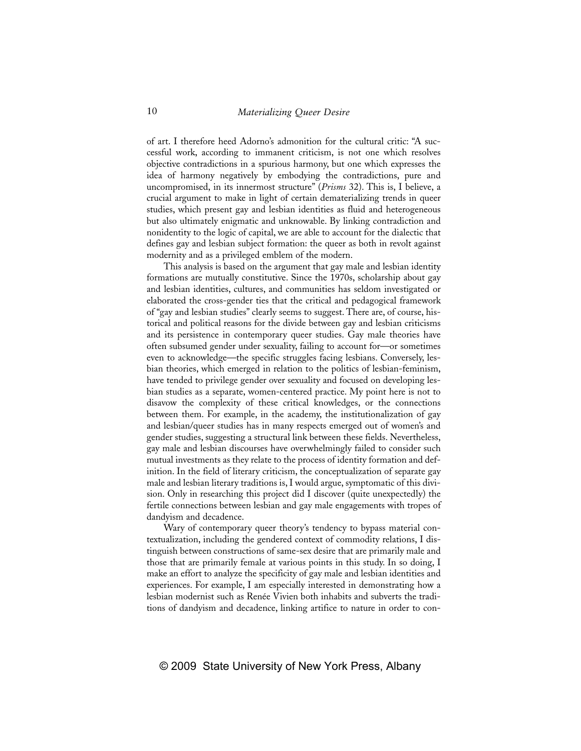of art. I therefore heed Adorno's admonition for the cultural critic: "A successful work, according to immanent criticism, is not one which resolves objective contradictions in a spurious harmony, but one which expresses the idea of harmony negatively by embodying the contradictions, pure and uncompromised, in its innermost structure" (*Prisms* 32). This is, I believe, a crucial argument to make in light of certain dematerializing trends in queer studies, which present gay and lesbian identities as fluid and heterogeneous but also ultimately enigmatic and unknowable. By linking contradiction and nonidentity to the logic of capital, we are able to account for the dialectic that defines gay and lesbian subject formation: the queer as both in revolt against modernity and as a privileged emblem of the modern.

This analysis is based on the argument that gay male and lesbian identity formations are mutually constitutive. Since the 1970s, scholarship about gay and lesbian identities, cultures, and communities has seldom investigated or elaborated the cross-gender ties that the critical and pedagogical framework of "gay and lesbian studies" clearly seems to suggest. There are, of course, historical and political reasons for the divide between gay and lesbian criticisms and its persistence in contemporary queer studies. Gay male theories have often subsumed gender under sexuality, failing to account for—or sometimes even to acknowledge—the specific struggles facing lesbians. Conversely, lesbian theories, which emerged in relation to the politics of lesbian-feminism, have tended to privilege gender over sexuality and focused on developing lesbian studies as a separate, women-centered practice. My point here is not to disavow the complexity of these critical knowledges, or the connections between them. For example, in the academy, the institutionalization of gay and lesbian/queer studies has in many respects emerged out of women's and gender studies, suggesting a structural link between these fields. Nevertheless, gay male and lesbian discourses have overwhelmingly failed to consider such mutual investments as they relate to the process of identity formation and definition. In the field of literary criticism, the conceptualization of separate gay male and lesbian literary traditions is, I would argue, symptomatic of this division. Only in researching this project did I discover (quite unexpectedly) the fertile connections between lesbian and gay male engagements with tropes of dandyism and decadence.

Wary of contemporary queer theory's tendency to bypass material contextualization, including the gendered context of commodity relations, I distinguish between constructions of same-sex desire that are primarily male and those that are primarily female at various points in this study. In so doing, I make an effort to analyze the specificity of gay male and lesbian identities and experiences. For example, I am especially interested in demonstrating how a lesbian modernist such as Renée Vivien both inhabits and subverts the traditions of dandyism and decadence, linking artifice to nature in order to con-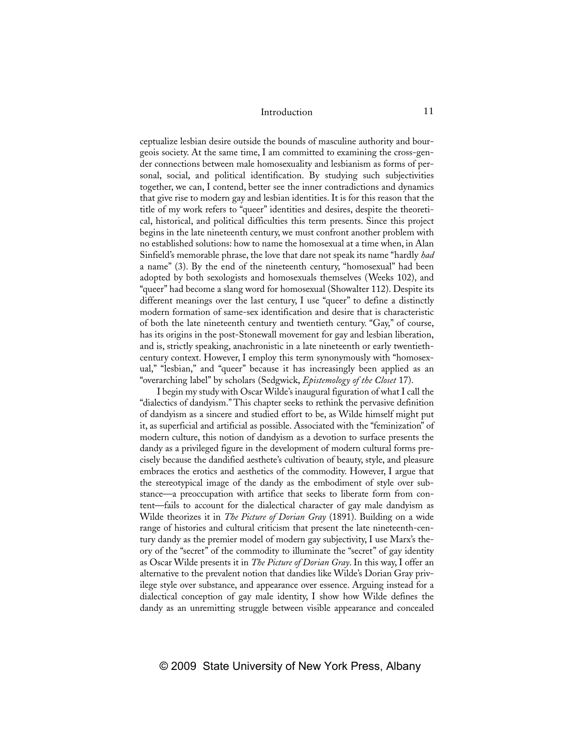ceptualize lesbian desire outside the bounds of masculine authority and bourgeois society. At the same time, I am committed to examining the cross-gender connections between male homosexuality and lesbianism as forms of personal, social, and political identification. By studying such subjectivities together, we can, I contend, better see the inner contradictions and dynamics that give rise to modern gay and lesbian identities. It is for this reason that the title of my work refers to "queer" identities and desires, despite the theoretical, historical, and political difficulties this term presents. Since this project begins in the late nineteenth century, we must confront another problem with no established solutions: how to name the homosexual at a time when, in Alan Sinfield's memorable phrase, the love that dare not speak its name "hardly *had* a name" (3). By the end of the nineteenth century, "homosexual" had been adopted by both sexologists and homosexuals themselves (Weeks 102), and "queer" had become a slang word for homosexual (Showalter 112). Despite its different meanings over the last century, I use "queer" to define a distinctly modern formation of same-sex identification and desire that is characteristic of both the late nineteenth century and twentieth century. "Gay," of course, has its origins in the post-Stonewall movement for gay and lesbian liberation, and is, strictly speaking, anachronistic in a late nineteenth or early twentiethcentury context. However, I employ this term synonymously with "homosexual," "lesbian," and "queer" because it has increasingly been applied as an "overarching label" by scholars (Sedgwick, *Epistemology of the Closet* 17).

I begin my study with Oscar Wilde's inaugural figuration of what I call the "dialectics of dandyism." This chapter seeks to rethink the pervasive definition of dandyism as a sincere and studied effort to be, as Wilde himself might put it, as superficial and artificial as possible. Associated with the "feminization" of modern culture, this notion of dandyism as a devotion to surface presents the dandy as a privileged figure in the development of modern cultural forms precisely because the dandified aesthete's cultivation of beauty, style, and pleasure embraces the erotics and aesthetics of the commodity. However, I argue that the stereotypical image of the dandy as the embodiment of style over substance—a preoccupation with artifice that seeks to liberate form from content—fails to account for the dialectical character of gay male dandyism as Wilde theorizes it in *The Picture of Dorian Gray* (1891). Building on a wide range of histories and cultural criticism that present the late nineteenth-century dandy as the premier model of modern gay subjectivity, I use Marx's theory of the "secret" of the commodity to illuminate the "secret" of gay identity as Oscar Wilde presents it in *The Picture of Dorian Gray*. In this way, I offer an alternative to the prevalent notion that dandies like Wilde's Dorian Gray privilege style over substance, and appearance over essence. Arguing instead for a dialectical conception of gay male identity, I show how Wilde defines the dandy as an unremitting struggle between visible appearance and concealed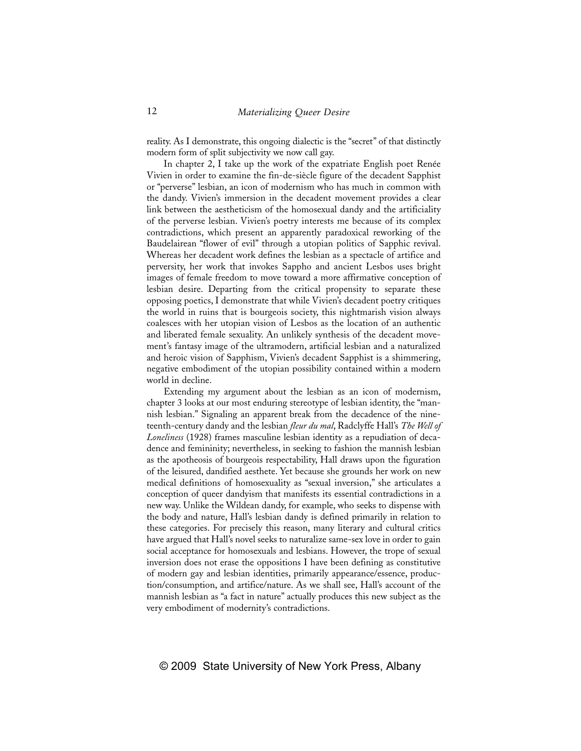reality. As I demonstrate, this ongoing dialectic is the "secret" of that distinctly modern form of split subjectivity we now call gay.

In chapter 2, I take up the work of the expatriate English poet Renée Vivien in order to examine the fin-de-siècle figure of the decadent Sapphist or "perverse" lesbian, an icon of modernism who has much in common with the dandy. Vivien's immersion in the decadent movement provides a clear link between the aestheticism of the homosexual dandy and the artificiality of the perverse lesbian. Vivien's poetry interests me because of its complex contradictions, which present an apparently paradoxical reworking of the Baudelairean "flower of evil" through a utopian politics of Sapphic revival. Whereas her decadent work defines the lesbian as a spectacle of artifice and perversity, her work that invokes Sappho and ancient Lesbos uses bright images of female freedom to move toward a more affirmative conception of lesbian desire. Departing from the critical propensity to separate these opposing poetics, I demonstrate that while Vivien's decadent poetry critiques the world in ruins that is bourgeois society, this nightmarish vision always coalesces with her utopian vision of Lesbos as the location of an authentic and liberated female sexuality. An unlikely synthesis of the decadent movement's fantasy image of the ultramodern, artificial lesbian and a naturalized and heroic vision of Sapphism, Vivien's decadent Sapphist is a shimmering, negative embodiment of the utopian possibility contained within a modern world in decline.

Extending my argument about the lesbian as an icon of modernism, chapter 3 looks at our most enduring stereotype of lesbian identity, the "mannish lesbian." Signaling an apparent break from the decadence of the nineteenth-century dandy and the lesbian *fleur du mal*, Radclyffe Hall's *The Well of Loneliness* (1928) frames masculine lesbian identity as a repudiation of decadence and femininity; nevertheless, in seeking to fashion the mannish lesbian as the apotheosis of bourgeois respectability, Hall draws upon the figuration of the leisured, dandified aesthete. Yet because she grounds her work on new medical definitions of homosexuality as "sexual inversion," she articulates a conception of queer dandyism that manifests its essential contradictions in a new way. Unlike the Wildean dandy, for example, who seeks to dispense with the body and nature, Hall's lesbian dandy is defined primarily in relation to these categories. For precisely this reason, many literary and cultural critics have argued that Hall's novel seeks to naturalize same-sex love in order to gain social acceptance for homosexuals and lesbians. However, the trope of sexual inversion does not erase the oppositions I have been defining as constitutive of modern gay and lesbian identities, primarily appearance/essence, production/consumption, and artifice/nature. As we shall see, Hall's account of the mannish lesbian as "a fact in nature" actually produces this new subject as the very embodiment of modernity's contradictions.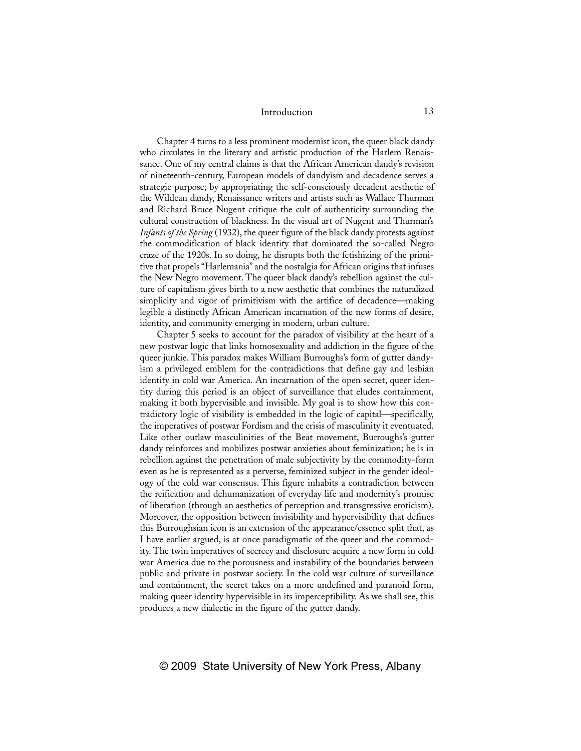Chapter 4 turns to a less prominent modernist icon, the queer black dandy who circulates in the literary and artistic production of the Harlem Renaissance. One of my central claims is that the African American dandy's revision of nineteenth-century, European models of dandyism and decadence serves a strategic purpose; by appropriating the self-consciously decadent aesthetic of the Wildean dandy, Renaissance writers and artists such as Wallace Thurman and Richard Bruce Nugent critique the cult of authenticity surrounding the cultural construction of blackness. In the visual art of Nugent and Thurman's *Infants of the Spring* (1932), the queer figure of the black dandy protests against the commodification of black identity that dominated the so-called Negro craze of the 1920s. In so doing, he disrupts both the fetishizing of the primitive that propels "Harlemania" and the nostalgia for African origins that infuses the New Negro movement. The queer black dandy's rebellion against the culture of capitalism gives birth to a new aesthetic that combines the naturalized simplicity and vigor of primitivism with the artifice of decadence—making legible a distinctly African American incarnation of the new forms of desire, identity, and community emerging in modern, urban culture.

Chapter 5 seeks to account for the paradox of visibility at the heart of a new postwar logic that links homosexuality and addiction in the figure of the queer junkie. This paradox makes William Burroughs's form of gutter dandyism a privileged emblem for the contradictions that define gay and lesbian identity in cold war America. An incarnation of the open secret, queer identity during this period is an object of surveillance that eludes containment, making it both hypervisible and invisible. My goal is to show how this contradictory logic of visibility is embedded in the logic of capital—specifically, the imperatives of postwar Fordism and the crisis of masculinity it eventuated. Like other outlaw masculinities of the Beat movement, Burroughs's gutter dandy reinforces and mobilizes postwar anxieties about feminization; he is in rebellion against the penetration of male subjectivity by the commodity-form even as he is represented as a perverse, feminized subject in the gender ideology of the cold war consensus. This figure inhabits a contradiction between the reification and dehumanization of everyday life and modernity's promise of liberation (through an aesthetics of perception and transgressive eroticism). Moreover, the opposition between invisibility and hypervisibility that defines this Burroughsian icon is an extension of the appearance/essence split that, as I have earlier argued, is at once paradigmatic of the queer and the commodity. The twin imperatives of secrecy and disclosure acquire a new form in cold war America due to the porousness and instability of the boundaries between public and private in postwar society. In the cold war culture of surveillance and containment, the secret takes on a more undefined and paranoid form, making queer identity hypervisible in its imperceptibility. As we shall see, this produces a new dialectic in the figure of the gutter dandy.